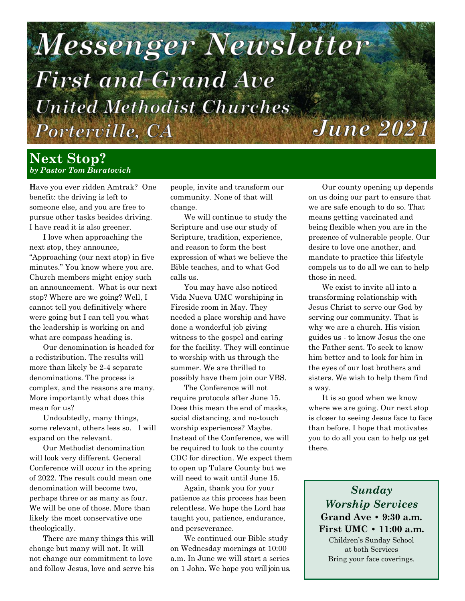# Messenger Newsletter **First and Grand Ave United Methodist Churches June 2021** Porterville, CA

## **Next Stop?** *by Pastor Tom Buratovich*

**H**ave you ever ridden Amtrak? One benefit: the driving is left to someone else, and you are free to pursue other tasks besides driving. I have read it is also greener.

I love when approaching the next stop, they announce, "Approaching (our next stop) in five minutes." You know where you are. Church members might enjoy such an announcement. What is our next stop? Where are we going? Well, I cannot tell you definitively where were going but I can tell you what the leadership is working on and what are compass heading is.

Our denomination is headed for a redistribution. The results will more than likely be 2-4 separate denominations. The process is complex, and the reasons are many. More importantly what does this mean for us?

Undoubtedly, many things, some relevant, others less so. I will expand on the relevant.

Our Methodist denomination will look very different. General Conference will occur in the spring of 2022. The result could mean one denomination will become two, perhaps three or as many as four. We will be one of those. More than likely the most conservative one theologically.

There are many things this will change but many will not. It will not change our commitment to love and follow Jesus, love and serve his

people, invite and transform our community. None of that will change.

We will continue to study the Scripture and use our study of Scripture, tradition, experience, and reason to form the best expression of what we believe the Bible teaches, and to what God calls us.

You may have also noticed Vida Nueva UMC worshiping in Fireside room in May. They needed a place worship and have done a wonderful job giving witness to the gospel and caring for the facility. They will continue to worship with us through the summer. We are thrilled to possibly have them join our VBS.

The Conference will not require protocols after June 15. Does this mean the end of masks, social distancing, and no-touch worship experiences? Maybe. Instead of the Conference, we will be required to look to the county CDC for direction. We expect them to open up Tulare County but we will need to wait until June 15.

Again, thank you for your patience as this process has been relentless. We hope the Lord has taught you, patience, endurance, and perseverance.

We continued our Bible study on Wednesday mornings at 10:00 a.m. In June we will start a series on 1 John. We hope you will join us.

Our county opening up depends on us doing our part to ensure that we are safe enough to do so. That means getting vaccinated and being flexible when you are in the presence of vulnerable people. Our desire to love one another, and mandate to practice this lifestyle compels us to do all we can to help those in need.

We exist to invite all into a transforming relationship with Jesus Christ to serve our God by serving our community. That is why we are a church. His vision guides us - to know Jesus the one the Father sent. To seek to know him better and to look for him in the eyes of our lost brothers and sisters. We wish to help them find a way.

It is so good when we know where we are going. Our next stop is closer to seeing Jesus face to face than before. I hope that motivates you to do all you can to help us get there.

*Sunday Worship Services* **Grand Ave • 9:30 a.m. First UMC • 11:00 a.m.**  Children's Sunday School at both Services Bring your face coverings.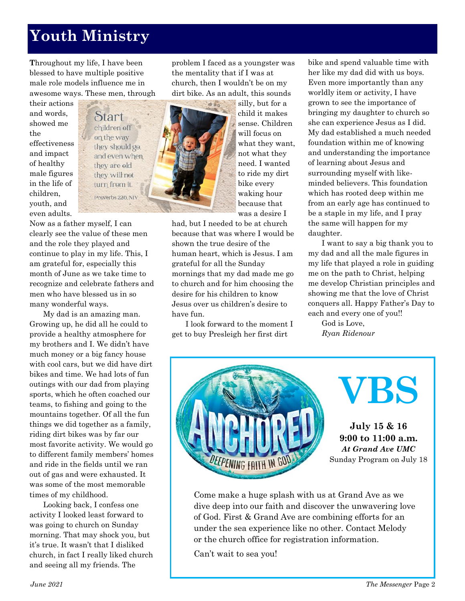## **Youth Ministry**

**T**hroughout my life, I have been blessed to have multiple positive male role models influence me in awesome ways. These men, through

their actions and words, showed me the effectiveness and impact of healthy male figures in the life of children, youth, and even adults.



Now as a father myself, I can clearly see the value of these men and the role they played and continue to play in my life. This, I am grateful for, especially this month of June as we take time to recognize and celebrate fathers and men who have blessed us in so many wonderful ways.

My dad is an amazing man. Growing up, he did all he could to provide a healthy atmosphere for my brothers and I. We didn't have much money or a big fancy house with cool cars, but we did have dirt bikes and time. We had lots of fun outings with our dad from playing sports, which he often coached our teams, to fishing and going to the mountains together. Of all the fun things we did together as a family, riding dirt bikes was by far our most favorite activity. We would go to different family members' homes and ride in the fields until we ran out of gas and were exhausted. It was some of the most memorable times of my childhood.

Looking back, I confess one activity I looked least forward to was going to church on Sunday morning. That may shock you, but it's true. It wasn't that I disliked church, in fact I really liked church and seeing all my friends. The

problem I faced as a youngster was the mentality that if I was at church, then I wouldn't be on my dirt bike. As an adult, this sounds

 $\phi$   $\hat{\theta}_0$ 

silly, but for a child it makes sense. Children will focus on what they want, not what they need. I wanted to ride my dirt bike every waking hour because that was a desire I

had, but I needed to be at church because that was where I would be shown the true desire of the human heart, which is Jesus. I am grateful for all the Sunday mornings that my dad made me go to church and for him choosing the desire for his children to know Jesus over us children's desire to have fun.

I look forward to the moment I get to buy Presleigh her first dirt

bike and spend valuable time with her like my dad did with us boys. Even more importantly than any worldly item or activity, I have grown to see the importance of bringing my daughter to church so she can experience Jesus as I did. My dad established a much needed foundation within me of knowing and understanding the importance of learning about Jesus and surrounding myself with likeminded believers. This foundation which has rooted deep within me from an early age has continued to be a staple in my life, and I pray the same will happen for my daughter.

I want to say a big thank you to my dad and all the male figures in my life that played a role in guiding me on the path to Christ, helping me develop Christian principles and showing me that the love of Christ conquers all. Happy Father's Day to each and every one of you!!

God is Love, *Ryan Ridenour*



**July 15 & 16 9:00 to 11:00 a.m.** *At Grand Ave UMC* Sunday Program on July 18

**VBS**

Come make a huge splash with us at Grand Ave as we dive deep into our faith and discover the unwavering love of God. First & Grand Ave are combining efforts for an under the sea experience like no other. Contact Melody or the church office for registration information.

Can't wait to sea you!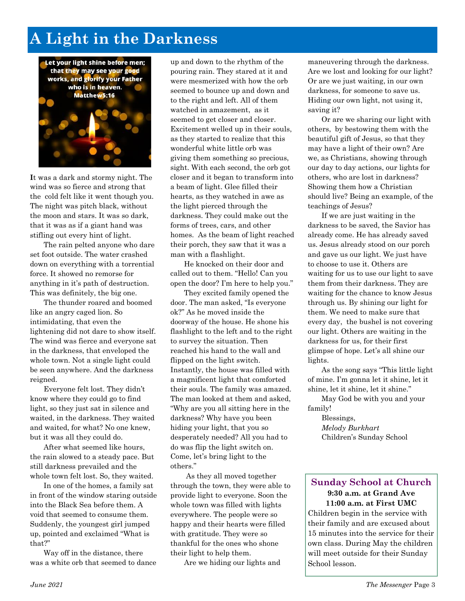## **A Light in the Darkness**



**I**t was a dark and stormy night. The wind was so fierce and strong that the cold felt like it went though you. The night was pitch black, without the moon and stars. It was so dark, that it was as if a giant hand was stifling out every hint of light.

The rain pelted anyone who dare set foot outside. The water crashed down on everything with a torrential force. It showed no remorse for anything in it's path of destruction. This was definitely, the big one.

The thunder roared and boomed like an angry caged lion. So intimidating, that even the lightening did not dare to show itself. The wind was fierce and everyone sat in the darkness, that enveloped the whole town. Not a single light could be seen anywhere. And the darkness reigned.

Everyone felt lost. They didn't know where they could go to find light, so they just sat in silence and waited, in the darkness. They waited and waited, for what? No one knew, but it was all they could do.

After what seemed like hours, the rain slowed to a steady pace. But still darkness prevailed and the whole town felt lost. So, they waited.

In one of the homes, a family sat in front of the window staring outside into the Black Sea before them. A void that seemed to consume them. Suddenly, the youngest girl jumped up, pointed and exclaimed "What is that?"

Way off in the distance, there was a white orb that seemed to dance up and down to the rhythm of the pouring rain. They stared at it and were mesmerized with how the orb seemed to bounce up and down and to the right and left. All of them watched in amazement, as it seemed to get closer and closer. Excitement welled up in their souls, as they started to realize that this wonderful white little orb was giving them something so precious, sight. With each second, the orb got closer and it began to transform into a beam of light. Glee filled their hearts, as they watched in awe as the light pierced through the darkness. They could make out the forms of trees, cars, and other homes. As the beam of light reached their porch, they saw that it was a man with a flashlight.

He knocked on their door and called out to them. "Hello! Can you open the door? I'm here to help you."

They excited family opened the door. The man asked, "Is everyone ok?" As he moved inside the doorway of the house. He shone his flashlight to the left and to the right to survey the situation. Then reached his hand to the wall and flipped on the light switch. Instantly, the house was filled with a magnificent light that comforted their souls. The family was amazed. The man looked at them and asked, "Why are you all sitting here in the darkness? Why have you been hiding your light, that you so desperately needed? All you had to do was flip the light switch on. Come, let's bring light to the others."

As they all moved together through the town, they were able to provide light to everyone. Soon the whole town was filled with lights everywhere. The people were so happy and their hearts were filled with gratitude. They were so thankful for the ones who shone their light to help them.

Are we hiding our lights and

maneuvering through the darkness. Are we lost and looking for our light? Or are we just waiting, in our own darkness, for someone to save us. Hiding our own light, not using it, saving it?

Or are we sharing our light with others, by bestowing them with the beautiful gift of Jesus, so that they may have a light of their own? Are we, as Christians, showing through our day to day actions, our lights for others, who are lost in darkness? Showing them how a Christian should live? Being an example, of the teachings of Jesus?

If we are just waiting in the darkness to be saved, the Savior has already come. He has already saved us. Jesus already stood on our porch and gave us our light. We just have to choose to use it. Others are waiting for us to use our light to save them from their darkness. They are waiting for the chance to know Jesus through us. By shining our light for them. We need to make sure that every day, the bushel is not covering our light. Others are waiting in the darkness for us, for their first glimpse of hope. Let's all shine our lights.

As the song says "This little light of mine. I'm gonna let it shine, let it shine, let it shine, let it shine."

May God be with you and your family!

> Blessings, *Melody Burkhart*  Children's Sunday School

#### **Sunday School at Church 9:30 a.m. at Grand Ave 11:00 a.m. at First UMC**

Children begin in the service with their family and are excused about 15 minutes into the service for their own class. During May the children will meet outside for their Sunday School lesson.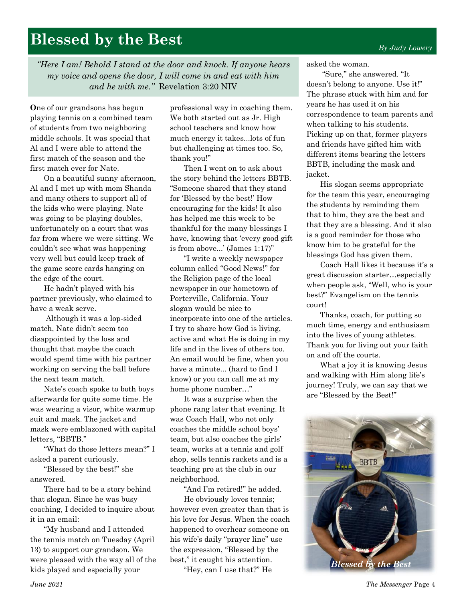## **Blessed by the Best**

*"Here I am! Behold I stand at the door and knock. If anyone hears my voice and opens the door, I will come in and eat with him and he with me."* Revelation 3:20 NIV

**O**ne of our grandsons has begun playing tennis on a combined team of students from two neighboring middle schools. It was special that Al and I were able to attend the first match of the season and the first match ever for Nate.

On a beautiful sunny afternoon, Al and I met up with mom Shanda and many others to support all of the kids who were playing. Nate was going to be playing doubles, unfortunately on a court that was far from where we were sitting. We couldn't see what was happening very well but could keep track of the game score cards hanging on the edge of the court.

He hadn't played with his partner previously, who claimed to have a weak serve.

Although it was a lop-sided match, Nate didn't seem too disappointed by the loss and thought that maybe the coach would spend time with his partner working on serving the ball before the next team match.

Nate's coach spoke to both boys afterwards for quite some time. He was wearing a visor, white warmup suit and mask. The jacket and mask were emblazoned with capital letters, "BBTB."

"What do those letters mean?" I asked a parent curiously.

"Blessed by the best!" she answered.

There had to be a story behind that slogan. Since he was busy coaching, I decided to inquire about it in an email:

"My husband and I attended the tennis match on Tuesday (April 13) to support our grandson. We were pleased with the way all of the kids played and especially your

professional way in coaching them. We both started out as Jr. High school teachers and know how much energy it takes...lots of fun but challenging at times too. So, thank you!"

Then I went on to ask about the story behind the letters BBTB. "Someone shared that they stand for 'Blessed by the best!' How encouraging for the kids! It also has helped me this week to be thankful for the many blessings I have, knowing that 'every good gift is from above...' (James 1:17)"

"I write a weekly newspaper column called "Good News!" for the Religion page of the local newspaper in our hometown of Porterville, California. Your slogan would be nice to incorporate into one of the articles. I try to share how God is living, active and what He is doing in my life and in the lives of others too. An email would be fine, when you have a minute... (hard to find I know) or you can call me at my home phone number…"

It was a surprise when the phone rang later that evening. It was Coach Hall, who not only coaches the middle school boys' team, but also coaches the girls' team, works at a tennis and golf shop, sells tennis rackets and is a teaching pro at the club in our neighborhood.

"And I'm retired!" he added. He obviously loves tennis; however even greater than that is his love for Jesus. When the coach happened to overhear someone on his wife's daily "prayer line" use the expression, "Blessed by the best," it caught his attention.

"Hey, can I use that?" He

asked the woman.

"Sure," she answered. "It doesn't belong to anyone. Use it!" The phrase stuck with him and for years he has used it on his correspondence to team parents and when talking to his students. Picking up on that, former players and friends have gifted him with different items bearing the letters BBTB, including the mask and jacket.

His slogan seems appropriate for the team this year, encouraging the students by reminding them that to him, they are the best and that they are a blessing. And it also is a good reminder for those who know him to be grateful for the blessings God has given them.

Coach Hall likes it because it's a great discussion starter…especially when people ask, "Well, who is your best?" Evangelism on the tennis court!

Thanks, coach, for putting so much time, energy and enthusiasm into the lives of young athletes. Thank you for living out your faith on and off the courts.

What a joy it is knowing Jesus and walking with Him along life's journey! Truly, we can say that we are "Blessed by the Best!"

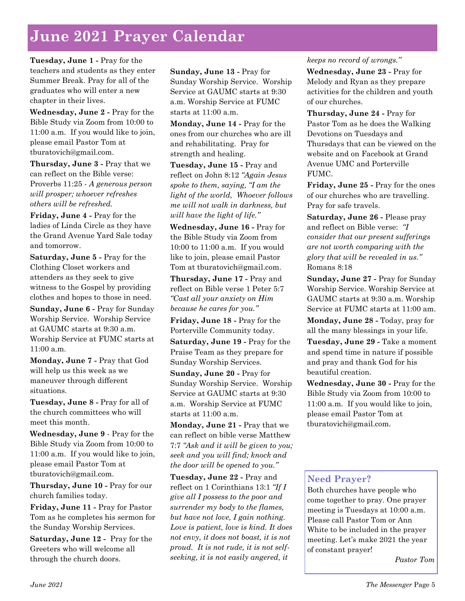## **June 2021 Prayer Calendar**

**Tuesday, June 1 -** Pray for the teachers and students as they enter Summer Break. Pray for all of the graduates who will enter a new chapter in their lives.

**Wednesday, June 2 -** Pray for the Bible Study via Zoom from 10:00 to 11:00 a.m. If you would like to join, please email Pastor Tom at tburatovich@gmail.com.

**Thursday, June 3 -** Pray that we can reflect on the Bible verse: Proverbs 11:25 - *A generous person will prosper; whoever refreshes others will be refreshed.*

**Friday, June 4 -** Pray for the ladies of Linda Circle as they have the Grand Avenue Yard Sale today and tomorrow.

**Saturday, June 5 -** Pray for the Clothing Closet workers and attenders as they seek to give witness to the Gospel by providing clothes and hopes to those in need.

**Sunday, June 6 -** Pray for Sunday Worship Service. Worship Service at GAUMC starts at 9:30 a.m. Worship Service at FUMC starts at 11:00 a.m.

**Monday, June 7 -** Pray that God will help us this week as we maneuver through different situations.

**Tuesday, June 8 -** Pray for all of the church committees who will meet this month.

**Wednesday, June 9** - Pray for the Bible Study via Zoom from 10:00 to 11:00 a.m. If you would like to join, please email Pastor Tom at tburatovich@gmail.com.

**Thursday, June 10 -** Pray for our church families today.

**Friday, June 11 -** Pray for Pastor Tom as he completes his sermon for the Sunday Worship Services.

**Saturday, June 12 -** Pray for the Greeters who will welcome all through the church doors.

**Sunday, June 13 -** Pray for Sunday Worship Service. Worship Service at GAUMC starts at 9:30 a.m. Worship Service at FUMC starts at 11:00 a.m.

**Monday, June 14 -** Pray for the ones from our churches who are ill and rehabilitating. Pray for strength and healing.

**Tuesday, June 15 -** Pray and reflect on John 8:12 *"Again Jesus spoke to them, saying, "I am the light of the world, Whoever follows me will not walk in darkness, but will have the light of life."*

**Wednesday, June 16 -** Pray for the Bible Study via Zoom from 10:00 to 11:00 a.m. If you would like to join, please email Pastor Tom at tburatovich@gmail.com.

**Thursday, June 17 -** Pray and reflect on Bible verse 1 Peter 5:7 *"Cast all your anxiety on Him because he cares for you."*

**Friday, June 18 -** Pray for the Porterville Community today. **Saturday, June 19 -** Pray for the Praise Team as they prepare for Sunday Worship Services.

**Sunday, June 20 -** Pray for Sunday Worship Service. Worship Service at GAUMC starts at 9:30 a.m. Worship Service at FUMC starts at 11:00 a.m.

**Monday, June 21 -** Pray that we can reflect on bible verse Matthew 7:7 *"Ask and it will be given to you; seek and you will find; knock and the door will be opened to you."*

**Tuesday, June 22 -** Pray and reflect on 1 Corinthians 13:1 *"If I give all I possess to the poor and surrender my body to the flames, but have not love, I gain nothing. Love is patient, love is kind. It does not envy, it does not boast, it is not proud. It is not rude, it is not selfseeking, it is not easily angered, it* 

#### *keeps no record of wrongs."*

**Wednesday, June 23 -** Pray for Melody and Ryan as they prepare activities for the children and youth of our churches.

**Thursday, June 24 -** Pray for Pastor Tom as he does the Walking Devotions on Tuesdays and Thursdays that can be viewed on the website and on Facebook at Grand Avenue UMC and Porterville FUMC.

**Friday, June 25 -** Pray for the ones of our churches who are travelling. Pray for safe travels.

**Saturday, June 26 -** Please pray and reflect on Bible verse: *"I consider that our present sufferings are not worth comparing with the glory that will be revealed in us."*  Romans 8:18

**Sunday, June 27 -** Pray for Sunday Worship Service. Worship Service at GAUMC starts at 9:30 a.m. Worship Service at FUMC starts at 11:00 am.

**Monday, June 28 -** Today, pray for all the many blessings in your life.

**Tuesday, June 29 -** Take a moment and spend time in nature if possible and pray and thank God for his beautiful creation.

**Wednesday, June 30 -** Pray for the Bible Study via Zoom from 10:00 to 11:00 a.m. If you would like to join, please email Pastor Tom at tburatovich@gmail.com.

### **Need Prayer?**

Both churches have people who come together to pray. One prayer meeting is Tuesdays at 10:00 a.m. Please call Pastor Tom or Ann White to be included in the prayer meeting. Let's make 2021 the year of constant prayer!

*Pastor Tom*